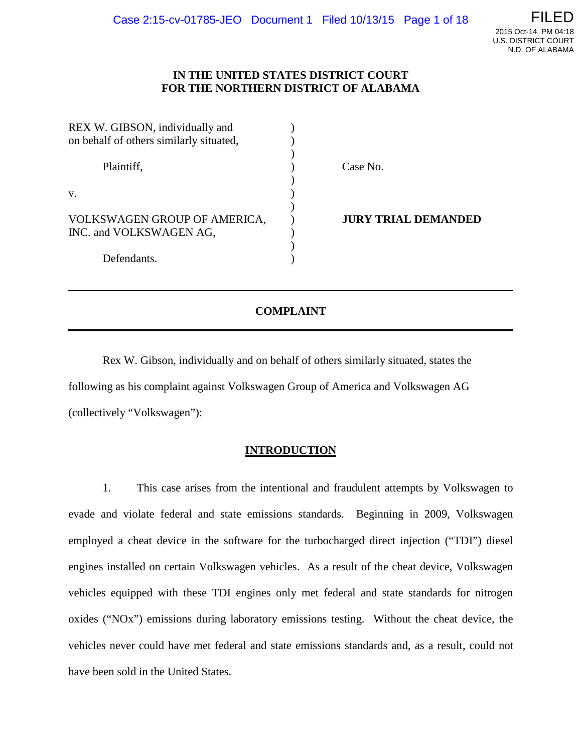### **IN THE UNITED STATES DISTRICT COURT FOR THE NORTHERN DISTRICT OF ALABAMA**

| REX W. GIBSON, individually and                         |                            |
|---------------------------------------------------------|----------------------------|
| on behalf of others similarly situated,                 |                            |
| Plaintiff,                                              | Case No.                   |
| V.                                                      |                            |
| VOLKSWAGEN GROUP OF AMERICA,<br>INC. and VOLKSWAGEN AG, | <b>JURY TRIAL DEMANDED</b> |
| Defendants.                                             |                            |

# **COMPLAINT**

Rex W. Gibson, individually and on behalf of others similarly situated, states the following as his complaint against Volkswagen Group of America and Volkswagen AG (collectively "Volkswagen"):

### **INTRODUCTION**

1. This case arises from the intentional and fraudulent attempts by Volkswagen to evade and violate federal and state emissions standards. Beginning in 2009, Volkswagen employed a cheat device in the software for the turbocharged direct injection ("TDI") diesel engines installed on certain Volkswagen vehicles. As a result of the cheat device, Volkswagen vehicles equipped with these TDI engines only met federal and state standards for nitrogen oxides ("NOx") emissions during laboratory emissions testing. Without the cheat device, the vehicles never could have met federal and state emissions standards and, as a result, could not have been sold in the United States.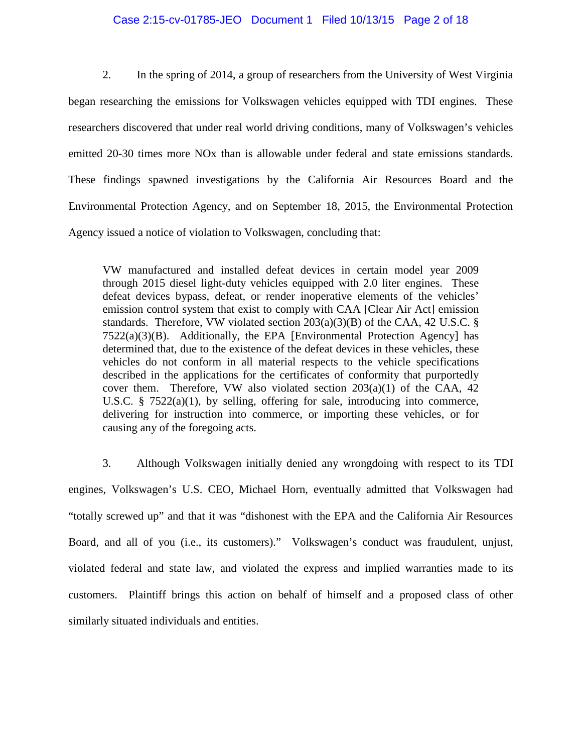#### Case 2:15-cv-01785-JEO Document 1 Filed 10/13/15 Page 2 of 18

2. In the spring of 2014, a group of researchers from the University of West Virginia began researching the emissions for Volkswagen vehicles equipped with TDI engines. These researchers discovered that under real world driving conditions, many of Volkswagen's vehicles emitted 20-30 times more NOx than is allowable under federal and state emissions standards. These findings spawned investigations by the California Air Resources Board and the Environmental Protection Agency, and on September 18, 2015, the Environmental Protection Agency issued a notice of violation to Volkswagen, concluding that:

VW manufactured and installed defeat devices in certain model year 2009 through 2015 diesel light-duty vehicles equipped with 2.0 liter engines. These defeat devices bypass, defeat, or render inoperative elements of the vehicles' emission control system that exist to comply with CAA [Clear Air Act] emission standards. Therefore, VW violated section  $203(a)(3)(B)$  of the CAA, 42 U.S.C. §  $7522(a)(3)(B)$ . Additionally, the EPA [Environmental Protection Agency] has determined that, due to the existence of the defeat devices in these vehicles, these vehicles do not conform in all material respects to the vehicle specifications described in the applications for the certificates of conformity that purportedly cover them. Therefore, VW also violated section  $203(a)(1)$  of the CAA, 42 U.S.C. §  $7522(a)(1)$ , by selling, offering for sale, introducing into commerce, delivering for instruction into commerce, or importing these vehicles, or for causing any of the foregoing acts.

3. Although Volkswagen initially denied any wrongdoing with respect to its TDI engines, Volkswagen's U.S. CEO, Michael Horn, eventually admitted that Volkswagen had "totally screwed up" and that it was "dishonest with the EPA and the California Air Resources Board, and all of you (i.e., its customers)." Volkswagen's conduct was fraudulent, unjust, violated federal and state law, and violated the express and implied warranties made to its customers. Plaintiff brings this action on behalf of himself and a proposed class of other similarly situated individuals and entities.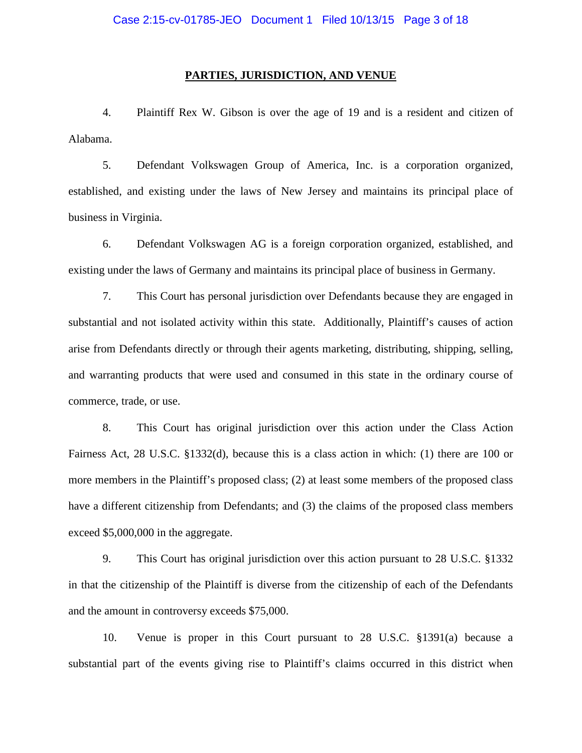#### **PARTIES, JURISDICTION, AND VENUE**

4. Plaintiff Rex W. Gibson is over the age of 19 and is a resident and citizen of Alabama.

5. Defendant Volkswagen Group of America, Inc. is a corporation organized, established, and existing under the laws of New Jersey and maintains its principal place of business in Virginia.

6. Defendant Volkswagen AG is a foreign corporation organized, established, and existing under the laws of Germany and maintains its principal place of business in Germany.

7. This Court has personal jurisdiction over Defendants because they are engaged in substantial and not isolated activity within this state. Additionally, Plaintiff's causes of action arise from Defendants directly or through their agents marketing, distributing, shipping, selling, and warranting products that were used and consumed in this state in the ordinary course of commerce, trade, or use.

8. This Court has original jurisdiction over this action under the Class Action Fairness Act, 28 U.S.C. §1332(d), because this is a class action in which: (1) there are 100 or more members in the Plaintiff's proposed class; (2) at least some members of the proposed class have a different citizenship from Defendants; and (3) the claims of the proposed class members exceed \$5,000,000 in the aggregate.

9. This Court has original jurisdiction over this action pursuant to 28 U.S.C. §1332 in that the citizenship of the Plaintiff is diverse from the citizenship of each of the Defendants and the amount in controversy exceeds \$75,000.

10. Venue is proper in this Court pursuant to 28 U.S.C. §1391(a) because a substantial part of the events giving rise to Plaintiff's claims occurred in this district when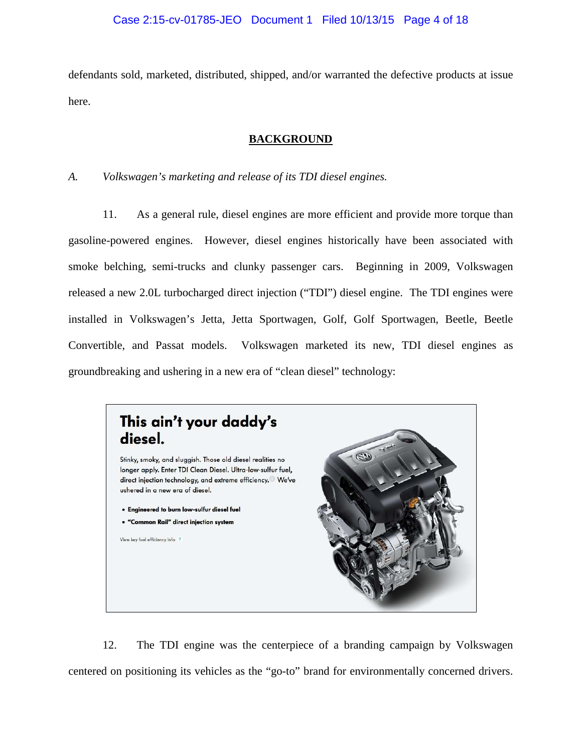## Case 2:15-cv-01785-JEO Document 1 Filed 10/13/15 Page 4 of 18

defendants sold, marketed, distributed, shipped, and/or warranted the defective products at issue here.

### **BACKGROUND**

## *A. Volkswagen's marketing and release of its TDI diesel engines.*

11. As a general rule, diesel engines are more efficient and provide more torque than gasoline-powered engines. However, diesel engines historically have been associated with smoke belching, semi-trucks and clunky passenger cars. Beginning in 2009, Volkswagen released a new 2.0L turbocharged direct injection ("TDI") diesel engine. The TDI engines were installed in Volkswagen's Jetta, Jetta Sportwagen, Golf, Golf Sportwagen, Beetle, Beetle Convertible, and Passat models. Volkswagen marketed its new, TDI diesel engines as groundbreaking and ushering in a new era of "clean diesel" technology:



12. The TDI engine was the centerpiece of a branding campaign by Volkswagen centered on positioning its vehicles as the "go-to" brand for environmentally concerned drivers.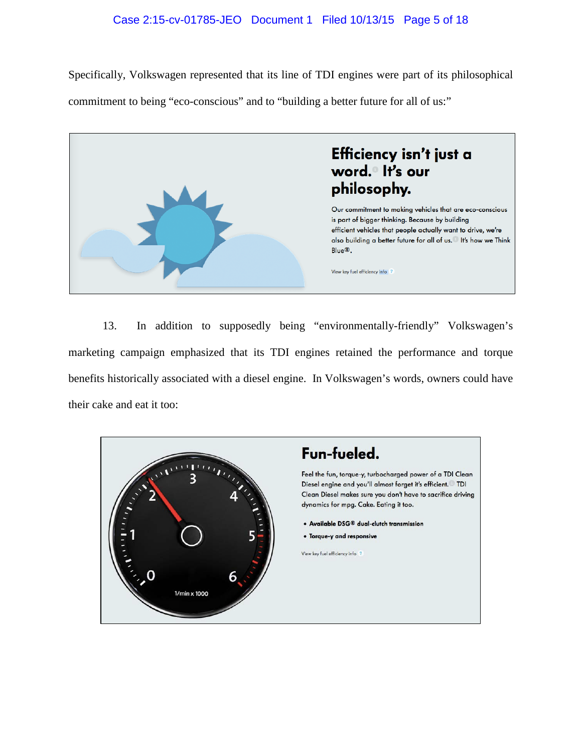# Case 2:15-cv-01785-JEO Document 1 Filed 10/13/15 Page 5 of 18

Specifically, Volkswagen represented that its line of TDI engines were part of its philosophical commitment to being "eco-conscious" and to "building a better future for all of us:"



13. In addition to supposedly being "environmentally-friendly" Volkswagen's marketing campaign emphasized that its TDI engines retained the performance and torque benefits historically associated with a diesel engine. In Volkswagen's words, owners could have their cake and eat it too:

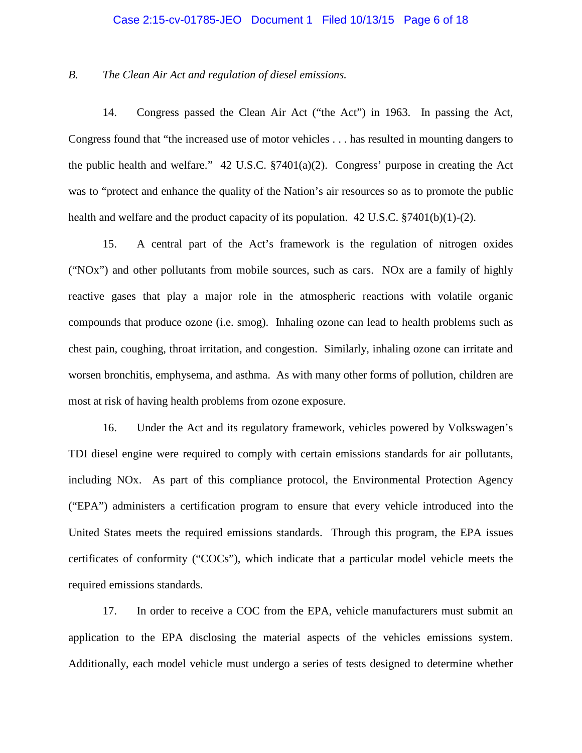#### Case 2:15-cv-01785-JEO Document 1 Filed 10/13/15 Page 6 of 18

#### *B. The Clean Air Act and regulation of diesel emissions.*

14. Congress passed the Clean Air Act ("the Act") in 1963. In passing the Act, Congress found that "the increased use of motor vehicles . . . has resulted in mounting dangers to the public health and welfare." 42 U.S.C. §7401(a)(2). Congress' purpose in creating the Act was to "protect and enhance the quality of the Nation's air resources so as to promote the public health and welfare and the product capacity of its population. 42 U.S.C. §7401(b)(1)-(2).

15. A central part of the Act's framework is the regulation of nitrogen oxides ("NOx") and other pollutants from mobile sources, such as cars. NOx are a family of highly reactive gases that play a major role in the atmospheric reactions with volatile organic compounds that produce ozone (i.e. smog). Inhaling ozone can lead to health problems such as chest pain, coughing, throat irritation, and congestion. Similarly, inhaling ozone can irritate and worsen bronchitis, emphysema, and asthma. As with many other forms of pollution, children are most at risk of having health problems from ozone exposure.

16. Under the Act and its regulatory framework, vehicles powered by Volkswagen's TDI diesel engine were required to comply with certain emissions standards for air pollutants, including NOx. As part of this compliance protocol, the Environmental Protection Agency ("EPA") administers a certification program to ensure that every vehicle introduced into the United States meets the required emissions standards. Through this program, the EPA issues certificates of conformity ("COCs"), which indicate that a particular model vehicle meets the required emissions standards.

17. In order to receive a COC from the EPA, vehicle manufacturers must submit an application to the EPA disclosing the material aspects of the vehicles emissions system. Additionally, each model vehicle must undergo a series of tests designed to determine whether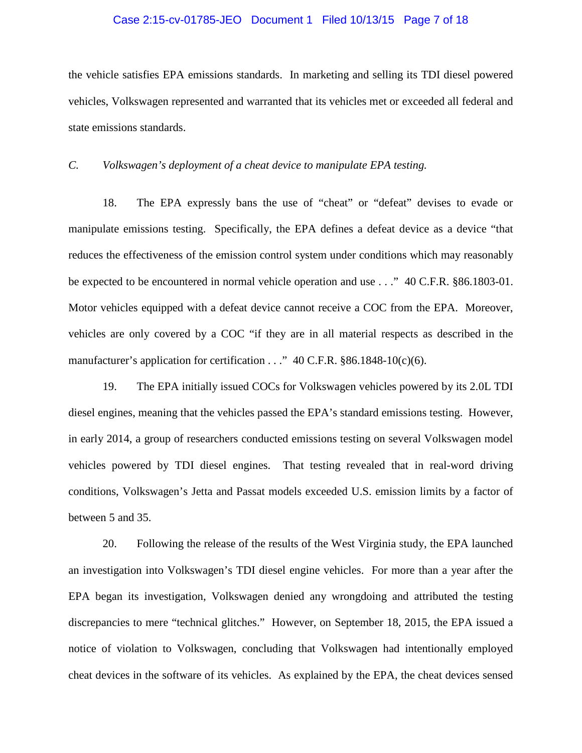#### Case 2:15-cv-01785-JEO Document 1 Filed 10/13/15 Page 7 of 18

the vehicle satisfies EPA emissions standards. In marketing and selling its TDI diesel powered vehicles, Volkswagen represented and warranted that its vehicles met or exceeded all federal and state emissions standards.

*C. Volkswagen's deployment of a cheat device to manipulate EPA testing.*

18. The EPA expressly bans the use of "cheat" or "defeat" devises to evade or manipulate emissions testing. Specifically, the EPA defines a defeat device as a device "that reduces the effectiveness of the emission control system under conditions which may reasonably be expected to be encountered in normal vehicle operation and use . . ." 40 C.F.R. §86.1803-01. Motor vehicles equipped with a defeat device cannot receive a COC from the EPA. Moreover, vehicles are only covered by a COC "if they are in all material respects as described in the manufacturer's application for certification . . ." 40 C.F.R. §86.1848-10(c)(6).

19. The EPA initially issued COCs for Volkswagen vehicles powered by its 2.0L TDI diesel engines, meaning that the vehicles passed the EPA's standard emissions testing. However, in early 2014, a group of researchers conducted emissions testing on several Volkswagen model vehicles powered by TDI diesel engines. That testing revealed that in real-word driving conditions, Volkswagen's Jetta and Passat models exceeded U.S. emission limits by a factor of between 5 and 35.

20. Following the release of the results of the West Virginia study, the EPA launched an investigation into Volkswagen's TDI diesel engine vehicles. For more than a year after the EPA began its investigation, Volkswagen denied any wrongdoing and attributed the testing discrepancies to mere "technical glitches." However, on September 18, 2015, the EPA issued a notice of violation to Volkswagen, concluding that Volkswagen had intentionally employed cheat devices in the software of its vehicles. As explained by the EPA, the cheat devices sensed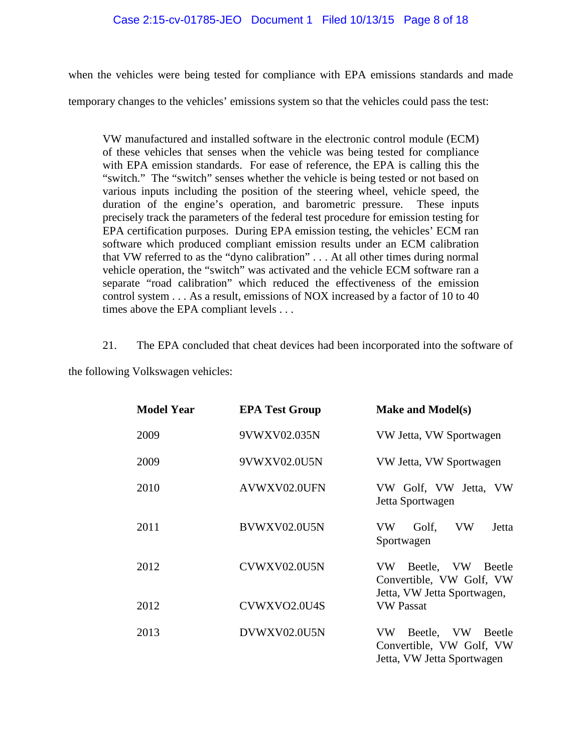when the vehicles were being tested for compliance with EPA emissions standards and made

temporary changes to the vehicles' emissions system so that the vehicles could pass the test:

VW manufactured and installed software in the electronic control module (ECM) of these vehicles that senses when the vehicle was being tested for compliance with EPA emission standards. For ease of reference, the EPA is calling this the "switch." The "switch" senses whether the vehicle is being tested or not based on various inputs including the position of the steering wheel, vehicle speed, the duration of the engine's operation, and barometric pressure. These inputs precisely track the parameters of the federal test procedure for emission testing for EPA certification purposes. During EPA emission testing, the vehicles' ECM ran software which produced compliant emission results under an ECM calibration that VW referred to as the "dyno calibration" . . . At all other times during normal vehicle operation, the "switch" was activated and the vehicle ECM software ran a separate "road calibration" which reduced the effectiveness of the emission control system . . . As a result, emissions of NOX increased by a factor of 10 to 40 times above the EPA compliant levels . . .

21. The EPA concluded that cheat devices had been incorporated into the software of

the following Volkswagen vehicles:

| <b>Model Year</b> | <b>EPA Test Group</b> | <b>Make and Model(s)</b>                                                            |
|-------------------|-----------------------|-------------------------------------------------------------------------------------|
| 2009              | 9VWXV02.035N          | VW Jetta, VW Sportwagen                                                             |
| 2009              | 9VWXV02.0U5N          | VW Jetta, VW Sportwagen                                                             |
| 2010              | AVWXV02.0UFN          | VW Golf, VW Jetta, VW<br>Jetta Sportwagen                                           |
| 2011              | BVWXV02.0U5N          | VW<br>VW<br>Jetta<br>Golf,<br>Sportwagen                                            |
| 2012              | CVWXV02.0U5N          | VW Beetle, VW Beetle<br>Convertible, VW Golf, VW<br>Jetta, VW Jetta Sportwagen,     |
| 2012              | CVWXVO2.0U4S          | <b>VW Passat</b>                                                                    |
| 2013              | DVWXV02.0U5N          | Beetle, VW Beetle<br>VW -<br>Convertible, VW Golf, VW<br>Jetta, VW Jetta Sportwagen |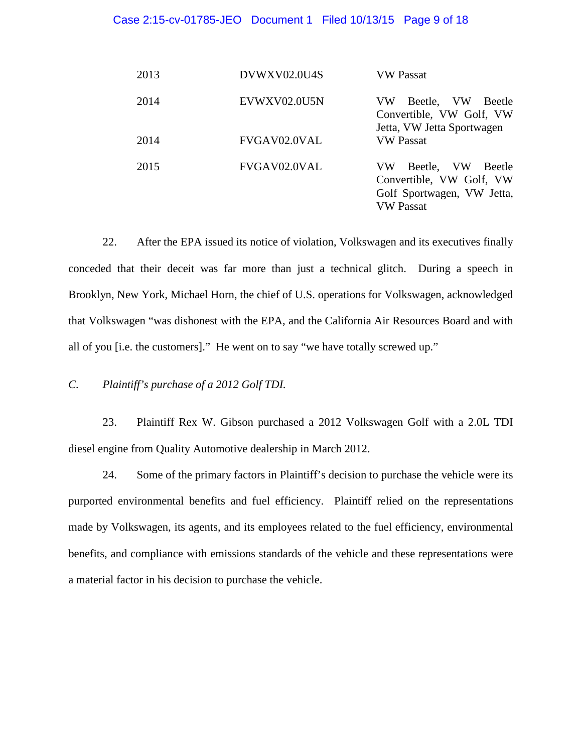#### Case 2:15-cv-01785-JEO Document 1 Filed 10/13/15 Page 9 of 18

| 2013 | DVWXV02.0U4S | VW Passat                                                                                         |
|------|--------------|---------------------------------------------------------------------------------------------------|
| 2014 | EVWXV02.0U5N | Beetle, VW<br>VW<br><b>Beetle</b><br>Convertible, VW Golf, VW<br>Jetta, VW Jetta Sportwagen       |
| 2014 | FVGAV02.0VAL | <b>VW Passat</b>                                                                                  |
| 2015 | FVGAV02.0VAL | Beetle, VW<br>VW<br>Beetle<br>Convertible, VW Golf, VW<br>Golf Sportwagen, VW Jetta,<br>VW Passat |

22. After the EPA issued its notice of violation, Volkswagen and its executives finally conceded that their deceit was far more than just a technical glitch. During a speech in Brooklyn, New York, Michael Horn, the chief of U.S. operations for Volkswagen, acknowledged that Volkswagen "was dishonest with the EPA, and the California Air Resources Board and with all of you [i.e. the customers]." He went on to say "we have totally screwed up."

*C. Plaintiff's purchase of a 2012 Golf TDI.*

23. Plaintiff Rex W. Gibson purchased a 2012 Volkswagen Golf with a 2.0L TDI diesel engine from Quality Automotive dealership in March 2012.

24. Some of the primary factors in Plaintiff's decision to purchase the vehicle were its purported environmental benefits and fuel efficiency. Plaintiff relied on the representations made by Volkswagen, its agents, and its employees related to the fuel efficiency, environmental benefits, and compliance with emissions standards of the vehicle and these representations were a material factor in his decision to purchase the vehicle.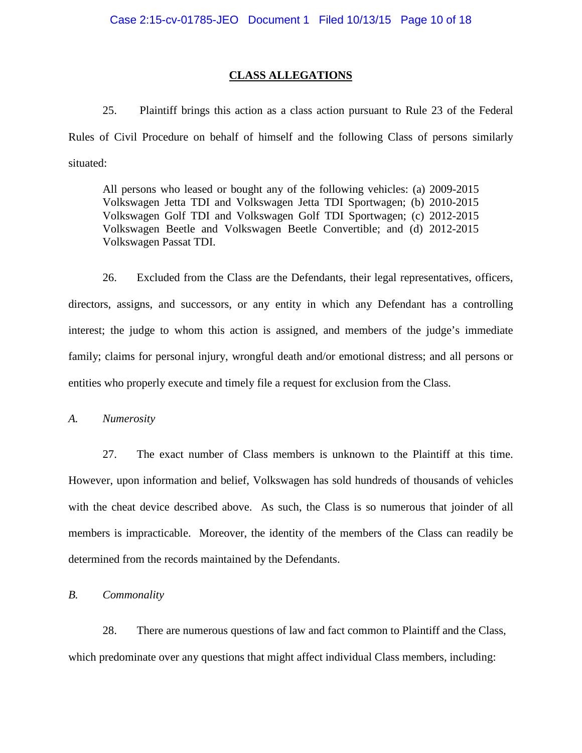### **CLASS ALLEGATIONS**

25. Plaintiff brings this action as a class action pursuant to Rule 23 of the Federal Rules of Civil Procedure on behalf of himself and the following Class of persons similarly situated:

All persons who leased or bought any of the following vehicles: (a) 2009-2015 Volkswagen Jetta TDI and Volkswagen Jetta TDI Sportwagen; (b) 2010-2015 Volkswagen Golf TDI and Volkswagen Golf TDI Sportwagen; (c) 2012-2015 Volkswagen Beetle and Volkswagen Beetle Convertible; and (d) 2012-2015 Volkswagen Passat TDI.

26. Excluded from the Class are the Defendants, their legal representatives, officers, directors, assigns, and successors, or any entity in which any Defendant has a controlling interest; the judge to whom this action is assigned, and members of the judge's immediate family; claims for personal injury, wrongful death and/or emotional distress; and all persons or entities who properly execute and timely file a request for exclusion from the Class.

*A. Numerosity* 

27. The exact number of Class members is unknown to the Plaintiff at this time. However, upon information and belief, Volkswagen has sold hundreds of thousands of vehicles with the cheat device described above. As such, the Class is so numerous that joinder of all members is impracticable. Moreover, the identity of the members of the Class can readily be determined from the records maintained by the Defendants.

*B. Commonality*

28. There are numerous questions of law and fact common to Plaintiff and the Class, which predominate over any questions that might affect individual Class members, including: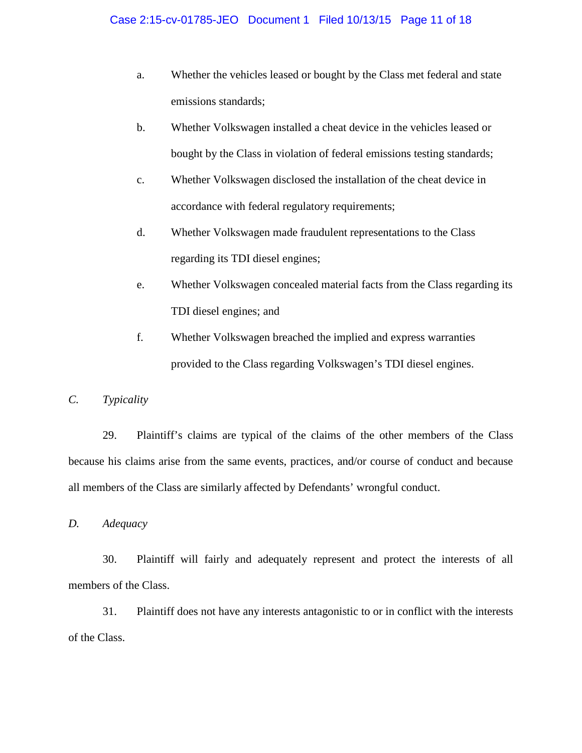- a. Whether the vehicles leased or bought by the Class met federal and state emissions standards;
- b. Whether Volkswagen installed a cheat device in the vehicles leased or bought by the Class in violation of federal emissions testing standards;
- c. Whether Volkswagen disclosed the installation of the cheat device in accordance with federal regulatory requirements;
- d. Whether Volkswagen made fraudulent representations to the Class regarding its TDI diesel engines;
- e. Whether Volkswagen concealed material facts from the Class regarding its TDI diesel engines; and
- f. Whether Volkswagen breached the implied and express warranties provided to the Class regarding Volkswagen's TDI diesel engines.

# *C. Typicality*

29. Plaintiff's claims are typical of the claims of the other members of the Class because his claims arise from the same events, practices, and/or course of conduct and because all members of the Class are similarly affected by Defendants' wrongful conduct.

*D. Adequacy*

30. Plaintiff will fairly and adequately represent and protect the interests of all members of the Class.

31. Plaintiff does not have any interests antagonistic to or in conflict with the interests of the Class.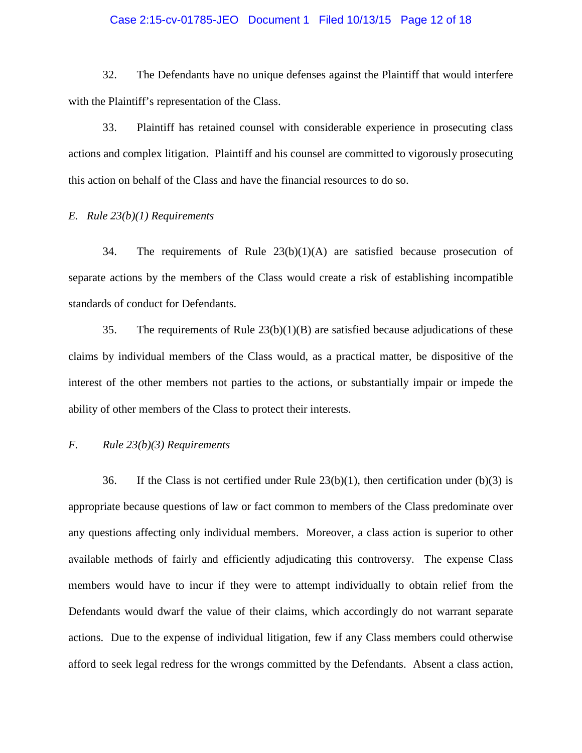#### Case 2:15-cv-01785-JEO Document 1 Filed 10/13/15 Page 12 of 18

32. The Defendants have no unique defenses against the Plaintiff that would interfere with the Plaintiff's representation of the Class.

33. Plaintiff has retained counsel with considerable experience in prosecuting class actions and complex litigation. Plaintiff and his counsel are committed to vigorously prosecuting this action on behalf of the Class and have the financial resources to do so.

#### *E. Rule 23(b)(1) Requirements*

34. The requirements of Rule 23(b)(1)(A) are satisfied because prosecution of separate actions by the members of the Class would create a risk of establishing incompatible standards of conduct for Defendants.

35. The requirements of Rule 23(b)(1)(B) are satisfied because adjudications of these claims by individual members of the Class would, as a practical matter, be dispositive of the interest of the other members not parties to the actions, or substantially impair or impede the ability of other members of the Class to protect their interests.

## *F. Rule 23(b)(3) Requirements*

36. If the Class is not certified under Rule  $23(b)(1)$ , then certification under (b)(3) is appropriate because questions of law or fact common to members of the Class predominate over any questions affecting only individual members. Moreover, a class action is superior to other available methods of fairly and efficiently adjudicating this controversy. The expense Class members would have to incur if they were to attempt individually to obtain relief from the Defendants would dwarf the value of their claims, which accordingly do not warrant separate actions. Due to the expense of individual litigation, few if any Class members could otherwise afford to seek legal redress for the wrongs committed by the Defendants. Absent a class action,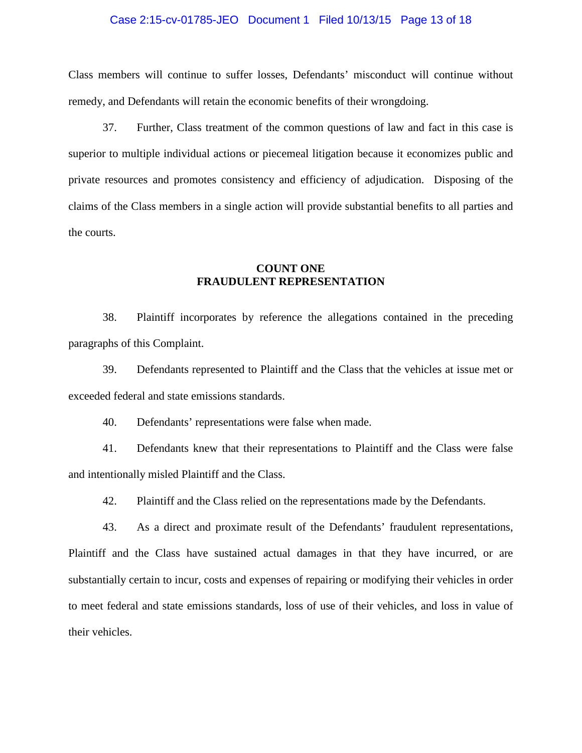#### Case 2:15-cv-01785-JEO Document 1 Filed 10/13/15 Page 13 of 18

Class members will continue to suffer losses, Defendants' misconduct will continue without remedy, and Defendants will retain the economic benefits of their wrongdoing.

37. Further, Class treatment of the common questions of law and fact in this case is superior to multiple individual actions or piecemeal litigation because it economizes public and private resources and promotes consistency and efficiency of adjudication. Disposing of the claims of the Class members in a single action will provide substantial benefits to all parties and the courts.

## **COUNT ONE FRAUDULENT REPRESENTATION**

38. Plaintiff incorporates by reference the allegations contained in the preceding paragraphs of this Complaint.

39. Defendants represented to Plaintiff and the Class that the vehicles at issue met or exceeded federal and state emissions standards.

40. Defendants' representations were false when made.

41. Defendants knew that their representations to Plaintiff and the Class were false and intentionally misled Plaintiff and the Class.

42. Plaintiff and the Class relied on the representations made by the Defendants.

43. As a direct and proximate result of the Defendants' fraudulent representations, Plaintiff and the Class have sustained actual damages in that they have incurred, or are substantially certain to incur, costs and expenses of repairing or modifying their vehicles in order to meet federal and state emissions standards, loss of use of their vehicles, and loss in value of their vehicles.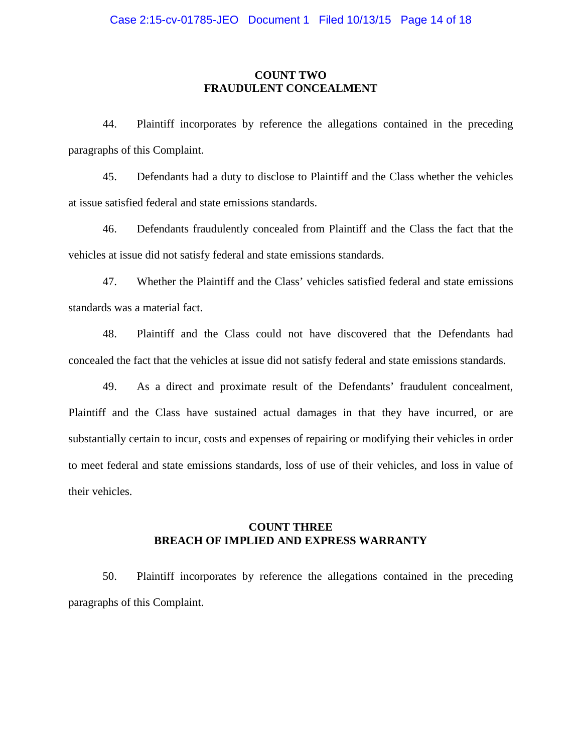## **COUNT TWO FRAUDULENT CONCEALMENT**

44. Plaintiff incorporates by reference the allegations contained in the preceding paragraphs of this Complaint.

45. Defendants had a duty to disclose to Plaintiff and the Class whether the vehicles at issue satisfied federal and state emissions standards.

46. Defendants fraudulently concealed from Plaintiff and the Class the fact that the vehicles at issue did not satisfy federal and state emissions standards.

47. Whether the Plaintiff and the Class' vehicles satisfied federal and state emissions standards was a material fact.

48. Plaintiff and the Class could not have discovered that the Defendants had concealed the fact that the vehicles at issue did not satisfy federal and state emissions standards.

49. As a direct and proximate result of the Defendants' fraudulent concealment, Plaintiff and the Class have sustained actual damages in that they have incurred, or are substantially certain to incur, costs and expenses of repairing or modifying their vehicles in order to meet federal and state emissions standards, loss of use of their vehicles, and loss in value of their vehicles.

## **COUNT THREE BREACH OF IMPLIED AND EXPRESS WARRANTY**

50. Plaintiff incorporates by reference the allegations contained in the preceding paragraphs of this Complaint.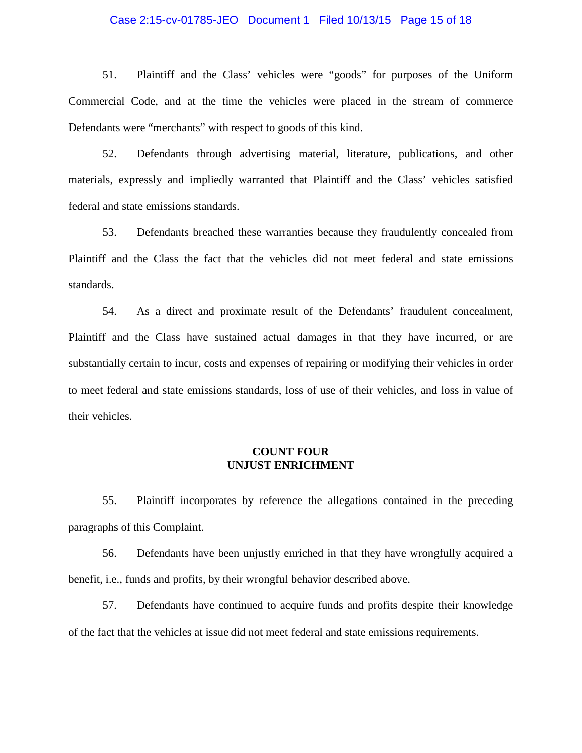#### Case 2:15-cv-01785-JEO Document 1 Filed 10/13/15 Page 15 of 18

51. Plaintiff and the Class' vehicles were "goods" for purposes of the Uniform Commercial Code, and at the time the vehicles were placed in the stream of commerce Defendants were "merchants" with respect to goods of this kind.

52. Defendants through advertising material, literature, publications, and other materials, expressly and impliedly warranted that Plaintiff and the Class' vehicles satisfied federal and state emissions standards.

53. Defendants breached these warranties because they fraudulently concealed from Plaintiff and the Class the fact that the vehicles did not meet federal and state emissions standards.

54. As a direct and proximate result of the Defendants' fraudulent concealment, Plaintiff and the Class have sustained actual damages in that they have incurred, or are substantially certain to incur, costs and expenses of repairing or modifying their vehicles in order to meet federal and state emissions standards, loss of use of their vehicles, and loss in value of their vehicles.

## **COUNT FOUR UNJUST ENRICHMENT**

55. Plaintiff incorporates by reference the allegations contained in the preceding paragraphs of this Complaint.

56. Defendants have been unjustly enriched in that they have wrongfully acquired a benefit, i.e., funds and profits, by their wrongful behavior described above.

57. Defendants have continued to acquire funds and profits despite their knowledge of the fact that the vehicles at issue did not meet federal and state emissions requirements.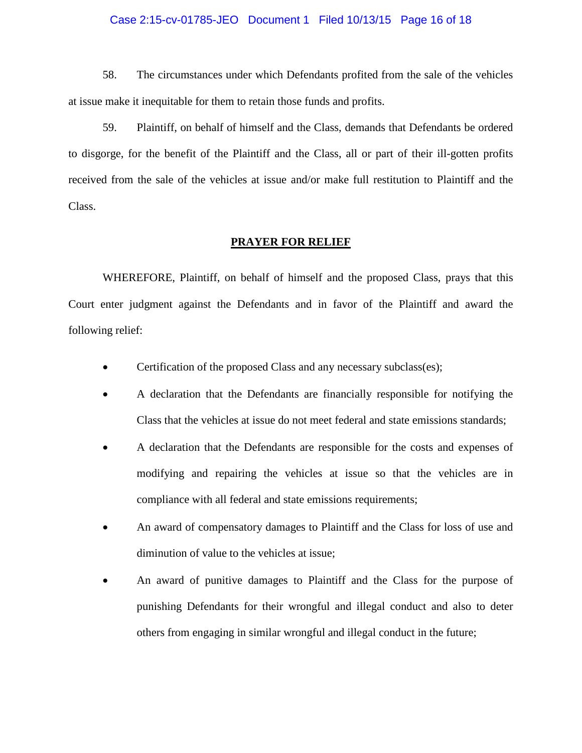#### Case 2:15-cv-01785-JEO Document 1 Filed 10/13/15 Page 16 of 18

58. The circumstances under which Defendants profited from the sale of the vehicles at issue make it inequitable for them to retain those funds and profits.

59. Plaintiff, on behalf of himself and the Class, demands that Defendants be ordered to disgorge, for the benefit of the Plaintiff and the Class, all or part of their ill-gotten profits received from the sale of the vehicles at issue and/or make full restitution to Plaintiff and the Class.

#### **PRAYER FOR RELIEF**

WHEREFORE, Plaintiff, on behalf of himself and the proposed Class, prays that this Court enter judgment against the Defendants and in favor of the Plaintiff and award the following relief:

- Certification of the proposed Class and any necessary subclass(es);
- A declaration that the Defendants are financially responsible for notifying the Class that the vehicles at issue do not meet federal and state emissions standards;
- A declaration that the Defendants are responsible for the costs and expenses of modifying and repairing the vehicles at issue so that the vehicles are in compliance with all federal and state emissions requirements;
- An award of compensatory damages to Plaintiff and the Class for loss of use and diminution of value to the vehicles at issue;
- An award of punitive damages to Plaintiff and the Class for the purpose of punishing Defendants for their wrongful and illegal conduct and also to deter others from engaging in similar wrongful and illegal conduct in the future;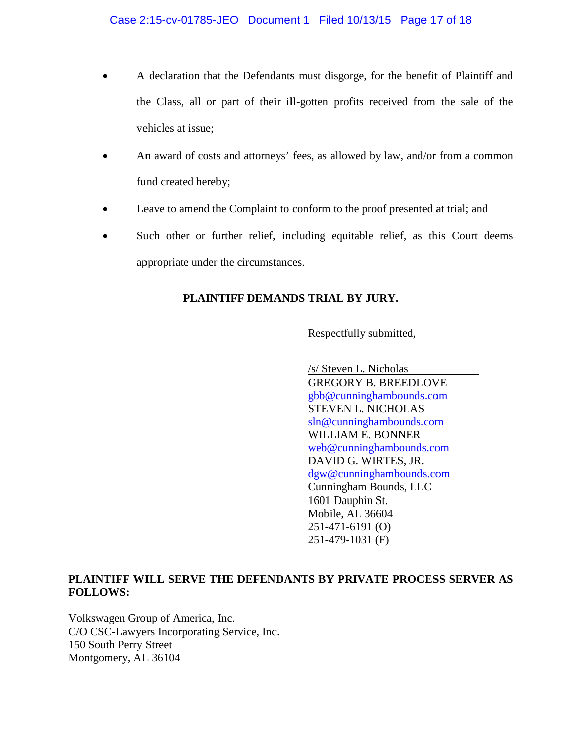- A declaration that the Defendants must disgorge, for the benefit of Plaintiff and the Class, all or part of their ill-gotten profits received from the sale of the vehicles at issue;
- An award of costs and attorneys' fees, as allowed by law, and/or from a common fund created hereby;
- Leave to amend the Complaint to conform to the proof presented at trial; and
- Such other or further relief, including equitable relief, as this Court deems appropriate under the circumstances.

# **PLAINTIFF DEMANDS TRIAL BY JURY.**

Respectfully submitted,

/s/ Steven L. Nicholas GREGORY B. BREEDLOVE [gbb@cunninghambounds.com](mailto:gbb@cunninghambounds.com) STEVEN L. NICHOLAS [sln@cunninghambounds.com](mailto:sln@cunninghambounds.com) WILLIAM E. BONNER [web@cunninghambounds.com](mailto:web@cunninghambounds.com) DAVID G. WIRTES, JR. [dgw@cunninghambounds.com](mailto:dgw@cunninghambounds.com) Cunningham Bounds, LLC 1601 Dauphin St. Mobile, AL 36604 251-471-6191 (O) 251-479-1031 (F)

# **PLAINTIFF WILL SERVE THE DEFENDANTS BY PRIVATE PROCESS SERVER AS FOLLOWS:**

Volkswagen Group of America, Inc. C/O CSC-Lawyers Incorporating Service, Inc. 150 South Perry Street Montgomery, AL 36104